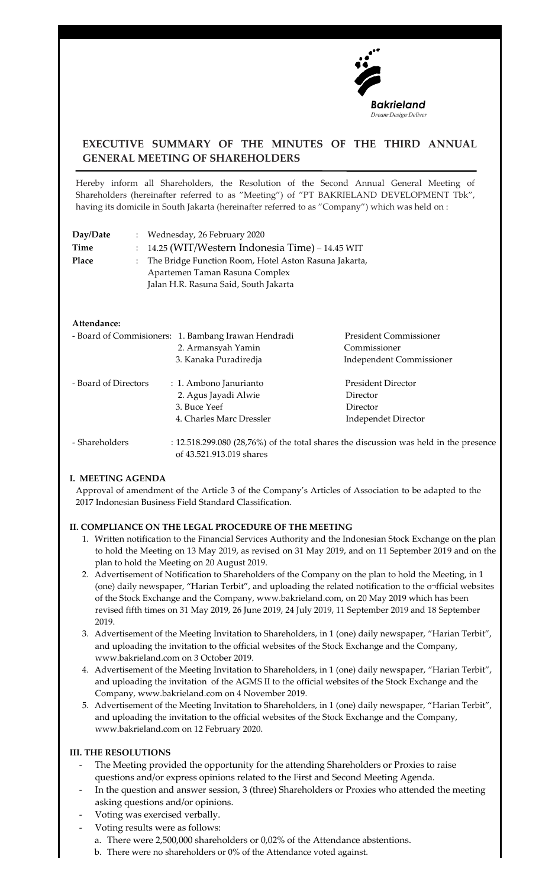

# **EXECUTIVE SUMMARY OF THE MINUTES OF THE THIRD ANNUAL GENERAL MEETING OF SHAREHOLDERS**

Hereby inform all Shareholders, the Resolution of the Second Annual General Meeting of Shareholders (hereinafter referred to as "Meeting") of "PT BAKRIELAND DEVELOPMENT Tbk", having its domicile in South Jakarta (hereinafter referred to as "Company") which was held on :

| Day/Date | : Wednesday, 26 February 2020                           |
|----------|---------------------------------------------------------|
| Time     | $: 14.25$ (WIT/Western Indonesia Time) – 14.45 WIT      |
| Place    | : The Bridge Function Room, Hotel Aston Rasuna Jakarta, |
|          | Apartemen Taman Rasuna Complex                          |
|          | Jalan H.R. Rasuna Said, South Jakarta                   |

#### **Attendance:**

|                      | - Board of Commisioners: 1. Bambang Irawan Hendradi | <b>President Commissioner</b>   |
|----------------------|-----------------------------------------------------|---------------------------------|
|                      | 2. Armansyah Yamin                                  | Commissioner                    |
|                      | 3. Kanaka Puradiredja                               | <b>Independent Commissioner</b> |
| - Board of Directors | : 1. Ambono Janurianto                              | <b>President Director</b>       |
|                      | 2. Agus Jayadi Alwie                                | Director                        |
|                      | 3. Buce Yeef                                        | Director                        |
|                      | 4. Charles Marc Dressler                            | <b>Independet Director</b>      |
|                      |                                                     |                                 |

 - Shareholders : 12.518.299.080 (28,76%) of the total shares the discussion was held in the presence of 43.521.913.019 shares

#### **I. MEETING AGENDA**

Approval of amendment of the Article 3 of the Company's Articles of Association to be adapted to the 2017 Indonesian Business Field Standard Classification.

## **II. COMPLIANCE ON THE LEGAL PROCEDURE OF THE MEETING**

- 1. Written notification to the Financial Services Authority and the Indonesian Stock Exchange on the plan to hold the Meeting on 13 May 2019, as revised on 31 May 2019, and on 11 September 2019 and on the plan to hold the Meeting on 20 August 2019.
- 2. Advertisement of Notification to Shareholders of the Company on the plan to hold the Meeting, in 1 (one) daily newspaper, "Harian Terbit", and uploading the related notification to the o¬fficial websites of the Stock Exchange and the Company, www.bakrieland.com, on 20 May 2019 which has been revised fifth times on 31 May 2019, 26 June 2019, 24 July 2019, 11 September 2019 and 18 September 2019.
- 3. Advertisement of the Meeting Invitation to Shareholders, in 1 (one) daily newspaper, "Harian Terbit", and uploading the invitation to the official websites of the Stock Exchange and the Company, www.bakrieland.com on 3 October 2019.
- 4. Advertisement of the Meeting Invitation to Shareholders, in 1 (one) daily newspaper, "Harian Terbit", and uploading the invitation of the AGMS II to the official websites of the Stock Exchange and the Company, www.bakrieland.com on 4 November 2019.
- 5. Advertisement of the Meeting Invitation to Shareholders, in 1 (one) daily newspaper, "Harian Terbit", and uploading the invitation to the official websites of the Stock Exchange and the Company, www.bakrieland.com on 12 February 2020.

## **III. THE RESOLUTIONS**

- The Meeting provided the opportunity for the attending Shareholders or Proxies to raise questions and/or express opinions related to the First and Second Meeting Agenda.
- In the question and answer session, 3 (three) Shareholders or Proxies who attended the meeting asking questions and/or opinions.
- Voting was exercised verbally.
- Voting results were as follows:
	- a. There were 2,500,000 shareholders or 0,02% of the Attendance abstentions.
	- b. There were no shareholders or 0% of the Attendance voted against.